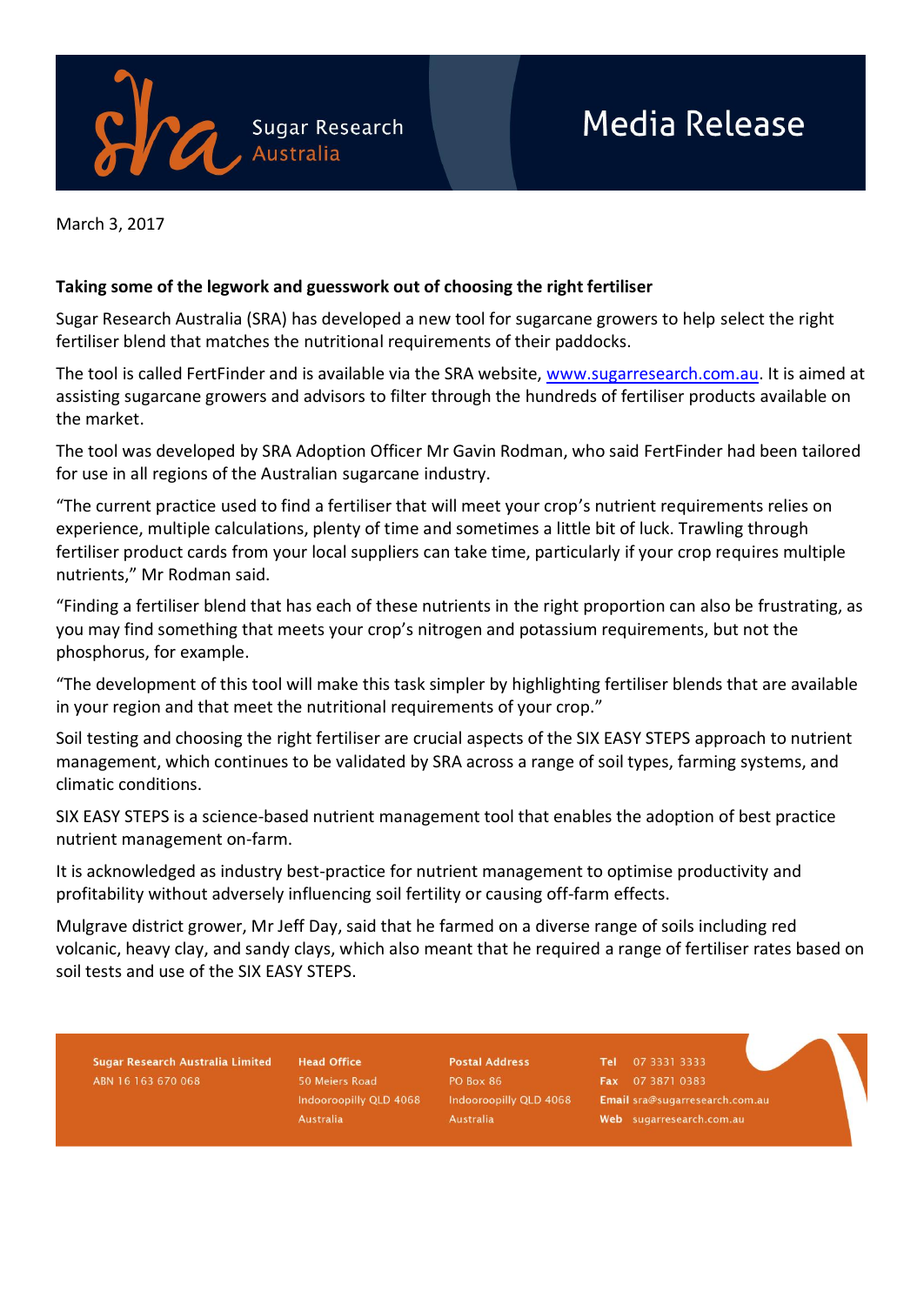

March 3, 2017

## **Taking some of the legwork and guesswork out of choosing the right fertiliser**

Sugar Research Australia (SRA) has developed a new tool for sugarcane growers to help select the right fertiliser blend that matches the nutritional requirements of their paddocks.

The tool is called FertFinder and is available via the SRA website, [www.sugarresearch.com.au.](http://www.sugarresearch.com.au/) It is aimed at assisting sugarcane growers and advisors to filter through the hundreds of fertiliser products available on the market.

The tool was developed by SRA Adoption Officer Mr Gavin Rodman, who said FertFinder had been tailored for use in all regions of the Australian sugarcane industry.

"The current practice used to find a fertiliser that will meet your crop's nutrient requirements relies on experience, multiple calculations, plenty of time and sometimes a little bit of luck. Trawling through fertiliser product cards from your local suppliers can take time, particularly if your crop requires multiple nutrients," Mr Rodman said.

"Finding a fertiliser blend that has each of these nutrients in the right proportion can also be frustrating, as you may find something that meets your crop's nitrogen and potassium requirements, but not the phosphorus, for example.

"The development of this tool will make this task simpler by highlighting fertiliser blends that are available in your region and that meet the nutritional requirements of your crop."

Soil testing and choosing the right fertiliser are crucial aspects of the SIX EASY STEPS approach to nutrient management, which continues to be validated by SRA across a range of soil types, farming systems, and climatic conditions.

SIX EASY STEPS is a science-based nutrient management tool that enables the adoption of best practice nutrient management on-farm.

It is acknowledged as industry best-practice for nutrient management to optimise productivity and profitability without adversely influencing soil fertility or causing off-farm effects.

Mulgrave district grower, Mr Jeff Day, said that he farmed on a diverse range of soils including red volcanic, heavy clay, and sandy clays, which also meant that he required a range of fertiliser rates based on soil tests and use of the SIX EASY STEPS.

Sugar Research Australia Limited ABN 16 163 670 068

**Head Office** 50 Meiers Road Indooroopilly QLD 4068 Australia

**Postal Address PO Box 86** Indooroopilly QLD 4068 Australia

Tel 07 3331 3333 Fax 07 3871 0383 Email sra@sugarresearch.com.au Web sugarresearch.com.au